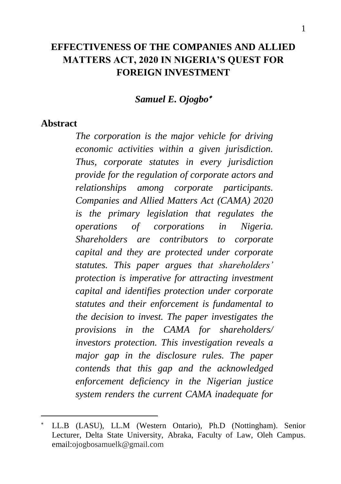# **EFFECTIVENESS OF THE COMPANIES AND ALLIED MATTERS ACT, 2020 IN NIGERIA'S QUEST FOR FOREIGN INVESTMENT**

*Samuel E. Ojogbo*

#### **Abstract**

 $\overline{a}$ 

*The corporation is the major vehicle for driving economic activities within a given jurisdiction. Thus, corporate statutes in every jurisdiction provide for the regulation of corporate actors and relationships among corporate participants. Companies and Allied Matters Act (CAMA) 2020 is the primary legislation that regulates the operations of corporations in Nigeria. Shareholders are contributors to corporate capital and they are protected under corporate statutes. This paper argues that shareholders' protection is imperative for attracting investment capital and identifies protection under corporate statutes and their enforcement is fundamental to the decision to invest. The paper investigates the provisions in the CAMA for shareholders/ investors protection. This investigation reveals a major gap in the disclosure rules. The paper contends that this gap and the acknowledged enforcement deficiency in the Nigerian justice system renders the current CAMA inadequate for* 

LL.B (LASU), LL.M (Western Ontario), Ph.D (Nottingham). Senior Lecturer, Delta State University, Abraka, Faculty of Law, Oleh Campus. email:ojogbosamuelk@gmail.com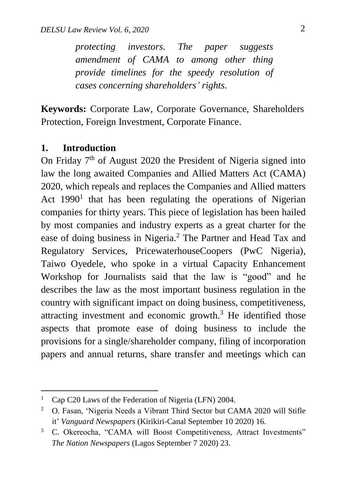*protecting investors. The paper suggests amendment of CAMA to among other thing provide timelines for the speedy resolution of cases concerning shareholders' rights.* 

**Keywords:** Corporate Law, Corporate Governance, Shareholders Protection, Foreign Investment, Corporate Finance.

#### **1. Introduction**

 $\overline{a}$ 

On Friday  $7<sup>th</sup>$  of August 2020 the President of Nigeria signed into law the long awaited Companies and Allied Matters Act (CAMA) 2020, which repeals and replaces the Companies and Allied matters Act  $1990<sup>1</sup>$  that has been regulating the operations of Nigerian companies for thirty years. This piece of legislation has been hailed by most companies and industry experts as a great charter for the ease of doing business in Nigeria.<sup>2</sup> The Partner and Head Tax and Regulatory Services, PricewaterhouseCoopers (PwC Nigeria), Taiwo Oyedele, who spoke in a virtual Capacity Enhancement Workshop for Journalists said that the law is "good" and he describes the law as the most important business regulation in the country with significant impact on doing business, competitiveness, attracting investment and economic growth. $3$  He identified those aspects that promote ease of doing business to include the provisions for a single/shareholder company, filing of incorporation papers and annual returns, share transfer and meetings which can

<sup>&</sup>lt;sup>1</sup> Cap C20 Laws of the Federation of Nigeria (LFN) 2004.

<sup>&</sup>lt;sup>2</sup> O. Fasan, 'Nigeria Needs a Vibrant Third Sector but CAMA 2020 will Stifle it' *Vanguard Newspapers* (Kirikiri-Canal September 10 2020) 16.

<sup>&</sup>lt;sup>3</sup> C. Okereocha, "CAMA will Boost Competitiveness, Attract Investments" *The Nation Newspapers* (Lagos September 7 2020) 23.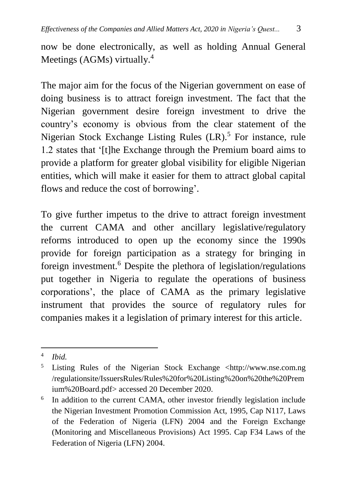now be done electronically, as well as holding Annual General Meetings (AGMs) virtually.<sup>4</sup>

The major aim for the focus of the Nigerian government on ease of doing business is to attract foreign investment. The fact that the Nigerian government desire foreign investment to drive the country's economy is obvious from the clear statement of the Nigerian Stock Exchange Listing Rules  $(LR)$ <sup>5</sup> For instance, rule 1.2 states that '[t]he Exchange through the Premium board aims to provide a platform for greater global visibility for eligible Nigerian entities, which will make it easier for them to attract global capital flows and reduce the cost of borrowing'.

To give further impetus to the drive to attract foreign investment the current CAMA and other ancillary legislative/regulatory reforms introduced to open up the economy since the 1990s provide for foreign participation as a strategy for bringing in foreign investment.<sup>6</sup> Despite the plethora of legislation/regulations put together in Nigeria to regulate the operations of business corporations', the place of CAMA as the primary legislative instrument that provides the source of regulatory rules for companies makes it a legislation of primary interest for this article.

<sup>4</sup> *Ibid.*

<sup>&</sup>lt;sup>5</sup> Listing Rules of the Nigerian Stock Exchange <http://www.nse.com.ng /regulationsite/IssuersRules/Rules%20for%20Listing%20on%20the%20Prem ium%20Board.pdf> accessed 20 December 2020.

<sup>6</sup> In addition to the current CAMA, other investor friendly legislation include the Nigerian Investment Promotion Commission Act, 1995, Cap N117, Laws of the Federation of Nigeria (LFN) 2004 and the Foreign Exchange (Monitoring and Miscellaneous Provisions) Act 1995. Cap F34 Laws of the Federation of Nigeria (LFN) 2004.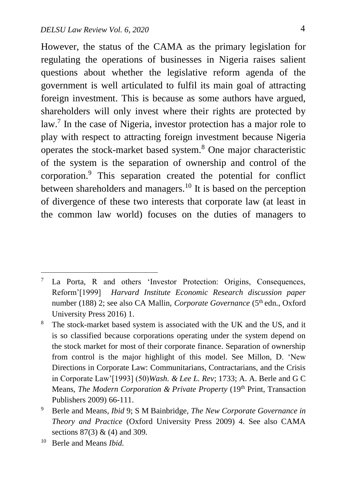However, the status of the CAMA as the primary legislation for regulating the operations of businesses in Nigeria raises salient questions about whether the legislative reform agenda of the government is well articulated to fulfil its main goal of attracting foreign investment. This is because as some authors have argued, shareholders will only invest where their rights are protected by law.<sup>7</sup> In the case of Nigeria, investor protection has a major role to play with respect to attracting foreign investment because Nigeria operates the stock-market based system.<sup>8</sup> One major characteristic of the system is the separation of ownership and control of the corporation.<sup>9</sup> This separation created the potential for conflict between shareholders and managers.<sup>10</sup> It is based on the perception of divergence of these two interests that corporate law (at least in the common law world) focuses on the duties of managers to

1

<sup>7</sup> La Porta, R and others 'Investor Protection: Origins, Consequences, Reform'[1999] *Harvard Institute Economic Research discussion paper* number (188) 2; see also CA Mallin, *Corporate Governance* (5<sup>th</sup> edn., Oxford University Press 2016) 1.

<sup>&</sup>lt;sup>8</sup> The stock-market based system is associated with the UK and the US, and it is so classified because corporations operating under the system depend on the stock market for most of their corporate finance. Separation of ownership from control is the major highlight of this model. See Millon, D. 'New Directions in Corporate Law: Communitarians, Contractarians, and the Crisis in Corporate Law'[1993] (50)*Wash. & Lee L. Rev*; 1733; A. A. Berle and G C Means, *The Modern Corporation & Private Property* (19<sup>th</sup> Print, Transaction Publishers 2009) 66-111.

<sup>9</sup> Berle and Means*, Ibid* 9; S M Bainbridge, *The New Corporate Governance in Theory and Practice* (Oxford University Press 2009) 4. See also CAMA sections 87(3) & (4) and 309.

<sup>10</sup> Berle and Means *Ibid.*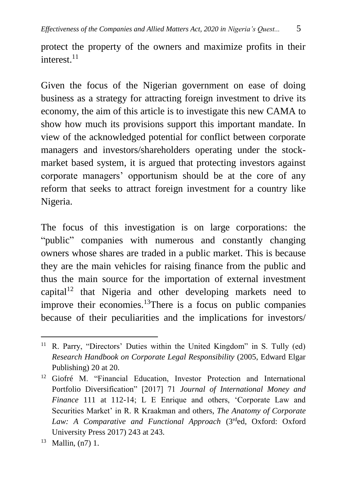protect the property of the owners and maximize profits in their interest $^{11}$ 

Given the focus of the Nigerian government on ease of doing business as a strategy for attracting foreign investment to drive its economy, the aim of this article is to investigate this new CAMA to show how much its provisions support this important mandate. In view of the acknowledged potential for conflict between corporate managers and investors/shareholders operating under the stockmarket based system, it is argued that protecting investors against corporate managers' opportunism should be at the core of any reform that seeks to attract foreign investment for a country like Nigeria.

The focus of this investigation is on large corporations: the "public" companies with numerous and constantly changing owners whose shares are traded in a public market. This is because they are the main vehicles for raising finance from the public and thus the main source for the importation of external investment capital<sup>12</sup> that Nigeria and other developing markets need to improve their economies.<sup>13</sup>There is a focus on public companies because of their peculiarities and the implications for investors/

 $\overline{a}$ <sup>11</sup> R. Parry, "Directors' Duties within the United Kingdom" in S. Tully (ed) *Research Handbook on Corporate Legal Responsibility* (2005, Edward Elgar Publishing) 20 at 20.

<sup>&</sup>lt;sup>12</sup> Giofré M. "Financial Education, Investor Protection and International Portfolio Diversification" [2017] 71 *Journal of International Money and Finance* 111 at 112-14; L E Enrique and others, 'Corporate Law and Securities Market' in R. R Kraakman and others, *The Anatomy of Corporate*  Law: A Comparative and Functional Approach (3rded, Oxford: Oxford University Press 2017) 243 at 243.

 $13$  Mallin,  $(n7)$  1.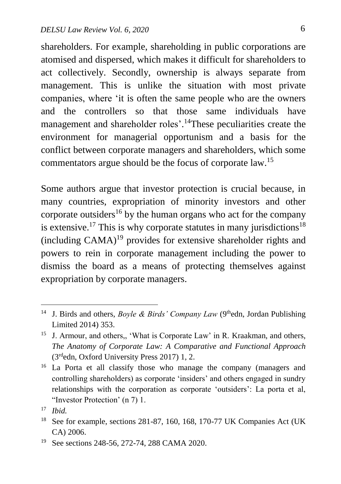shareholders. For example, shareholding in public corporations are atomised and dispersed, which makes it difficult for shareholders to act collectively. Secondly, ownership is always separate from management. This is unlike the situation with most private companies, where 'it is often the same people who are the owners and the controllers so that those same individuals have management and shareholder roles'.<sup>14</sup>These peculiarities create the environment for managerial opportunism and a basis for the conflict between corporate managers and shareholders, which some commentators argue should be the focus of corporate law.<sup>15</sup>

Some authors argue that investor protection is crucial because, in many countries, expropriation of minority investors and other corporate outsiders<sup>16</sup> by the human organs who act for the company is extensive.<sup>17</sup> This is why corporate statutes in many jurisdictions<sup>18</sup> (including CAMA) <sup>19</sup> provides for extensive shareholder rights and powers to rein in corporate management including the power to dismiss the board as a means of protecting themselves against expropriation by corporate managers.

<sup>&</sup>lt;sup>14</sup> J. Birds and others, *Boyle & Birds' Company Law* (9<sup>th</sup>edn, Jordan Publishing Limited 2014) 353.

<sup>&</sup>lt;sup>15</sup> J. Armour, and others,, 'What is Corporate Law' in R. Kraakman, and others, *The Anatomy of Corporate Law: A Comparative and Functional Approach* (3rdedn, Oxford University Press 2017) 1, 2.

<sup>&</sup>lt;sup>16</sup> La Porta et all classify those who manage the company (managers and controlling shareholders) as corporate 'insiders' and others engaged in sundry relationships with the corporation as corporate 'outsiders': La porta et al, "Investor Protection' (n 7) 1.

<sup>17</sup> *Ibid.*

<sup>18</sup> See for example, sections 281-87, 160, 168, 170-77 UK Companies Act (UK CA) 2006.

<sup>19</sup> See sections 248-56, 272-74, 288 CAMA 2020.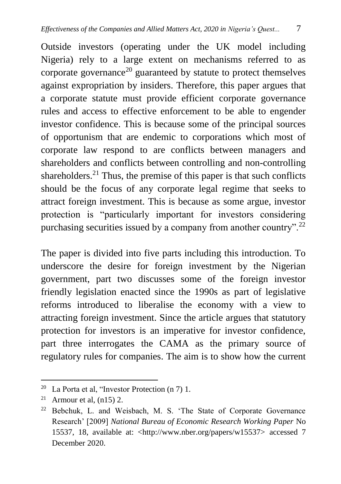Outside investors (operating under the UK model including Nigeria) rely to a large extent on mechanisms referred to as corporate governance<sup>20</sup> guaranteed by statute to protect themselves against expropriation by insiders. Therefore, this paper argues that a corporate statute must provide efficient corporate governance rules and access to effective enforcement to be able to engender investor confidence. This is because some of the principal sources of opportunism that are endemic to corporations which most of corporate law respond to are conflicts between managers and shareholders and conflicts between controlling and non-controlling shareholders.<sup>21</sup> Thus, the premise of this paper is that such conflicts should be the focus of any corporate legal regime that seeks to attract foreign investment. This is because as some argue, investor protection is "particularly important for investors considering purchasing securities issued by a company from another country".<sup>22</sup>

The paper is divided into five parts including this introduction. To underscore the desire for foreign investment by the Nigerian government, part two discusses some of the foreign investor friendly legislation enacted since the 1990s as part of legislative reforms introduced to liberalise the economy with a view to attracting foreign investment. Since the article argues that statutory protection for investors is an imperative for investor confidence, part three interrogates the CAMA as the primary source of regulatory rules for companies. The aim is to show how the current

<sup>&</sup>lt;sup>20</sup> La Porta et al, "Investor Protection  $(n 7)$  1.

<sup>&</sup>lt;sup>21</sup> Armour et al,  $(n15)$  2.

<sup>22</sup> Bebchuk, L. and Weisbach, M. S. 'The State of Corporate Governance Research' [2009] *National Bureau of Economic Research Working Paper* No 15537, 18, available at: <http://www.nber.org/papers/w15537> accessed 7 December 2020.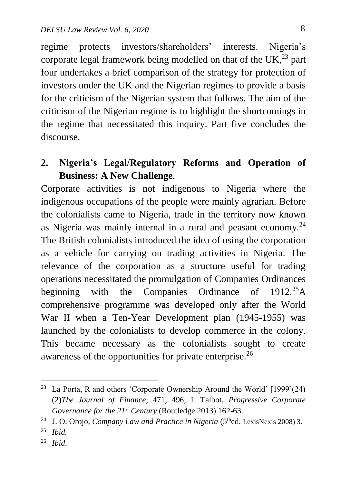regime protects investors/shareholders' interests. Nigeria's corporate legal framework being modelled on that of the UK $^{23}$  part four undertakes a brief comparison of the strategy for protection of investors under the UK and the Nigerian regimes to provide a basis for the criticism of the Nigerian system that follows. The aim of the criticism of the Nigerian regime is to highlight the shortcomings in the regime that necessitated this inquiry. Part five concludes the discourse.

## **2. Nigeria's Legal/Regulatory Reforms and Operation of Business: A New Challenge**.

Corporate activities is not indigenous to Nigeria where the indigenous occupations of the people were mainly agrarian. Before the colonialists came to Nigeria, trade in the territory now known as Nigeria was mainly internal in a rural and peasant economy.<sup>24</sup> The British colonialists introduced the idea of using the corporation as a vehicle for carrying on trading activities in Nigeria. The relevance of the corporation as a structure useful for trading operations necessitated the promulgation of Companies Ordinances beginning with the Companies Ordinance of  $1912.^{25}$ A comprehensive programme was developed only after the World War II when a Ten-Year Development plan (1945-1955) was launched by the colonialists to develop commerce in the colony. This became necessary as the colonialists sought to create awareness of the opportunities for private enterprise.<sup>26</sup>

 $\overline{a}$ 

<sup>26</sup> *Ibid*.

<sup>23</sup> La Porta, R and others 'Corporate Ownership Around the World' [1999](24) (2)*The Journal of Finance*; 471, 496; L Talbot, *Progressive Corporate Governance for the 21st Century* (Routledge 2013) 162-63.

<sup>&</sup>lt;sup>24</sup> J. O. Orojo, *Company Law and Practice in Nigeria* (5<sup>th</sup>ed, LexisNexis 2008) 3.

<sup>25</sup> *Ibid.*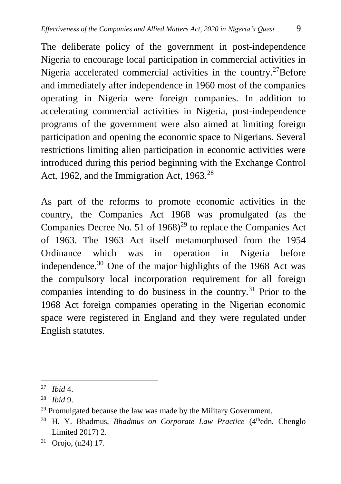The deliberate policy of the government in post-independence Nigeria to encourage local participation in commercial activities in Nigeria accelerated commercial activities in the country.<sup>27</sup>Before and immediately after independence in 1960 most of the companies operating in Nigeria were foreign companies. In addition to accelerating commercial activities in Nigeria, post-independence programs of the government were also aimed at limiting foreign participation and opening the economic space to Nigerians. Several restrictions limiting alien participation in economic activities were introduced during this period beginning with the Exchange Control Act, 1962, and the Immigration Act,  $1963.^{28}$ 

As part of the reforms to promote economic activities in the country, the Companies Act 1968 was promulgated (as the Companies Decree No. 51 of  $1968<sup>29</sup>$  to replace the Companies Act of 1963. The 1963 Act itself metamorphosed from the 1954 Ordinance which was in operation in Nigeria before independence.<sup>30</sup> One of the major highlights of the 1968 Act was the compulsory local incorporation requirement for all foreign companies intending to do business in the country.<sup>31</sup> Prior to the 1968 Act foreign companies operating in the Nigerian economic space were registered in England and they were regulated under English statutes.

<sup>27</sup> *Ibid* 4.

<sup>28</sup> *Ibid* 9.

 $29$  Promulgated because the law was made by the Military Government.

<sup>&</sup>lt;sup>30</sup> H. Y. Bhadmus, *Bhadmus on Corporate Law Practice* (4<sup>th</sup>edn, Chenglo Limited 2017) 2.

<sup>31</sup> Orojo, (n24) 17.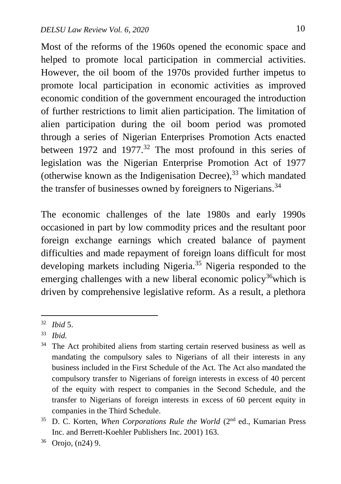Most of the reforms of the 1960s opened the economic space and helped to promote local participation in commercial activities. However, the oil boom of the 1970s provided further impetus to promote local participation in economic activities as improved economic condition of the government encouraged the introduction of further restrictions to limit alien participation. The limitation of alien participation during the oil boom period was promoted through a series of Nigerian Enterprises Promotion Acts enacted between 1972 and 1977.<sup>32</sup> The most profound in this series of legislation was the Nigerian Enterprise Promotion Act of 1977 (otherwise known as the Indigenisation Decree), <sup>33</sup> which mandated the transfer of businesses owned by foreigners to Nigerians.<sup>34</sup>

The economic challenges of the late 1980s and early 1990s occasioned in part by low commodity prices and the resultant poor foreign exchange earnings which created balance of payment difficulties and made repayment of foreign loans difficult for most developing markets including Nigeria.<sup>35</sup> Nigeria responded to the emerging challenges with a new liberal economic policy<sup>36</sup>which is driven by comprehensive legislative reform. As a result, a plethora

1

<sup>32</sup> *Ibid* 5.

<sup>33</sup> *Ibid.*

<sup>&</sup>lt;sup>34</sup> The Act prohibited aliens from starting certain reserved business as well as mandating the compulsory sales to Nigerians of all their interests in any business included in the First Schedule of the Act. The Act also mandated the compulsory transfer to Nigerians of foreign interests in excess of 40 percent of the equity with respect to companies in the Second Schedule, and the transfer to Nigerians of foreign interests in excess of 60 percent equity in companies in the Third Schedule.

<sup>&</sup>lt;sup>35</sup> D. C. Korten, *When Corporations Rule the World* (2<sup>nd</sup> ed., Kumarian Press Inc. and Berrett-Koehler Publishers Inc. 2001) 163.

<sup>36</sup> Orojo, (n24) 9.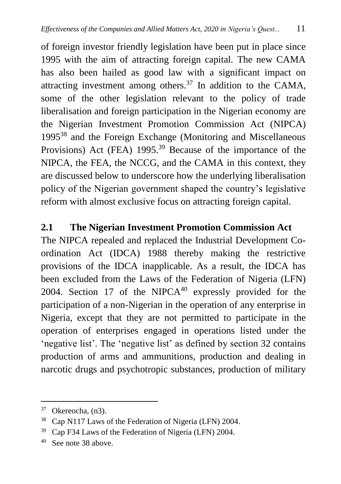of foreign investor friendly legislation have been put in place since 1995 with the aim of attracting foreign capital. The new CAMA has also been hailed as good law with a significant impact on attracting investment among others. $37$  In addition to the CAMA, some of the other legislation relevant to the policy of trade liberalisation and foreign participation in the Nigerian economy are the Nigerian Investment Promotion Commission Act (NIPCA) 1995<sup>38</sup> and the Foreign Exchange (Monitoring and Miscellaneous Provisions) Act (FEA) 1995.<sup>39</sup> Because of the importance of the NIPCA, the FEA, the NCCG, and the CAMA in this context, they are discussed below to underscore how the underlying liberalisation policy of the Nigerian government shaped the country's legislative reform with almost exclusive focus on attracting foreign capital.

### **2.1 The Nigerian Investment Promotion Commission Act**

The NIPCA repealed and replaced the Industrial Development Coordination Act (IDCA) 1988 thereby making the restrictive provisions of the IDCA inapplicable. As a result, the IDCA has been excluded from the Laws of the Federation of Nigeria (LFN) 2004. Section 17 of the NIPC $A^{40}$  expressly provided for the participation of a non-Nigerian in the operation of any enterprise in Nigeria, except that they are not permitted to participate in the operation of enterprises engaged in operations listed under the 'negative list'. The 'negative list' as defined by section 32 contains production of arms and ammunitions, production and dealing in narcotic drugs and psychotropic substances, production of military

<sup>37</sup> Okereocha, (n3).

<sup>38</sup> Cap N117 Laws of the Federation of Nigeria (LFN) 2004.

<sup>39</sup> Cap F34 Laws of the Federation of Nigeria (LFN) 2004.

<sup>40</sup> See note 38 above.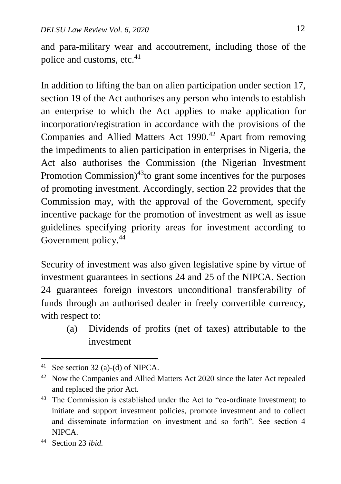and para-military wear and accoutrement, including those of the police and customs, etc.<sup>41</sup>

In addition to lifting the ban on alien participation under section 17, section 19 of the Act authorises any person who intends to establish an enterprise to which the Act applies to make application for incorporation/registration in accordance with the provisions of the Companies and Allied Matters Act 1990.<sup>42</sup> Apart from removing the impediments to alien participation in enterprises in Nigeria, the Act also authorises the Commission (the Nigerian Investment Promotion Commission) $43$ to grant some incentives for the purposes of promoting investment. Accordingly, section 22 provides that the Commission may, with the approval of the Government, specify incentive package for the promotion of investment as well as issue guidelines specifying priority areas for investment according to Government policy.<sup>44</sup>

Security of investment was also given legislative spine by virtue of investment guarantees in sections 24 and 25 of the NIPCA. Section 24 guarantees foreign investors unconditional transferability of funds through an authorised dealer in freely convertible currency, with respect to:

(a) Dividends of profits (net of taxes) attributable to the investment

1

<sup>&</sup>lt;sup>41</sup> See section 32 (a)-(d) of NIPCA.

<sup>&</sup>lt;sup>42</sup> Now the Companies and Allied Matters Act 2020 since the later Act repealed and replaced the prior Act.

<sup>&</sup>lt;sup>43</sup> The Commission is established under the Act to "co-ordinate investment; to initiate and support investment policies, promote investment and to collect and disseminate information on investment and so forth". See section 4 NIPCA.

<sup>44</sup> Section 23 *ibid.*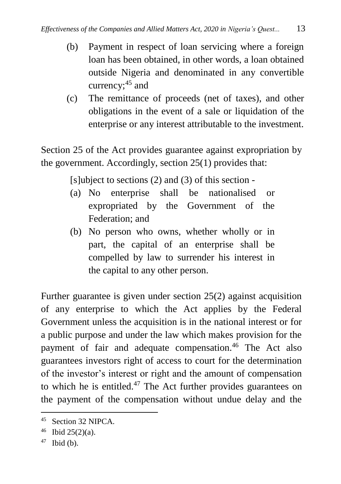- (b) Payment in respect of loan servicing where a foreign loan has been obtained, in other words, a loan obtained outside Nigeria and denominated in any convertible currency;<sup>45</sup> and
- (c) The remittance of proceeds (net of taxes), and other obligations in the event of a sale or liquidation of the enterprise or any interest attributable to the investment.

Section 25 of the Act provides guarantee against expropriation by the government. Accordingly, section 25(1) provides that:

 $[s]$ ubject to sections  $(2)$  and  $(3)$  of this section -

- (a) No enterprise shall be nationalised or expropriated by the Government of the Federation; and
- (b) No person who owns, whether wholly or in part, the capital of an enterprise shall be compelled by law to surrender his interest in the capital to any other person.

Further guarantee is given under section 25(2) against acquisition of any enterprise to which the Act applies by the Federal Government unless the acquisition is in the national interest or for a public purpose and under the law which makes provision for the payment of fair and adequate compensation.<sup>46</sup> The Act also guarantees investors right of access to court for the determination of the investor's interest or right and the amount of compensation to which he is entitled. $47$  The Act further provides guarantees on the payment of the compensation without undue delay and the

<sup>45</sup> Section 32 NIPCA.

 $46$  Ibid 25(2)(a).

 $47$  Ibid (b).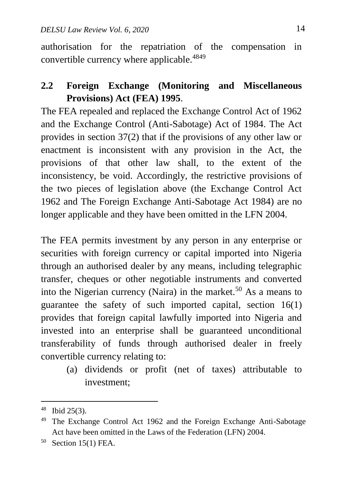authorisation for the repatriation of the compensation in convertible currency where applicable.<sup>4849</sup>

# **2.2 Foreign Exchange (Monitoring and Miscellaneous Provisions) Act (FEA) 1995**.

The FEA repealed and replaced the Exchange Control Act of 1962 and the Exchange Control (Anti-Sabotage) Act of 1984. The Act provides in section 37(2) that if the provisions of any other law or enactment is inconsistent with any provision in the Act, the provisions of that other law shall, to the extent of the inconsistency, be void. Accordingly, the restrictive provisions of the two pieces of legislation above (the Exchange Control Act 1962 and The Foreign Exchange Anti-Sabotage Act 1984) are no longer applicable and they have been omitted in the LFN 2004.

The FEA permits investment by any person in any enterprise or securities with foreign currency or capital imported into Nigeria through an authorised dealer by any means, including telegraphic transfer, cheques or other negotiable instruments and converted into the Nigerian currency (Naira) in the market.<sup>50</sup> As a means to guarantee the safety of such imported capital, section 16(1) provides that foreign capital lawfully imported into Nigeria and invested into an enterprise shall be guaranteed unconditional transferability of funds through authorised dealer in freely convertible currency relating to:

(a) dividends or profit (net of taxes) attributable to investment;

<sup>48</sup> Ibid 25(3).

<sup>49</sup> The Exchange Control Act 1962 and the Foreign Exchange Anti-Sabotage Act have been omitted in the Laws of the Federation (LFN) 2004.

<sup>50</sup> Section 15(1) FEA.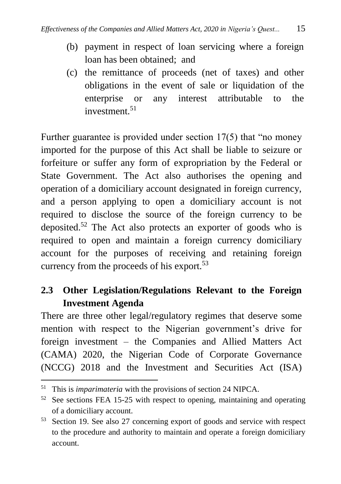- (b) payment in respect of loan servicing where a foreign loan has been obtained; and
- (c) the remittance of proceeds (net of taxes) and other obligations in the event of sale or liquidation of the enterprise or any interest attributable to the investment.<sup>51</sup>

Further guarantee is provided under section 17(5) that "no money imported for the purpose of this Act shall be liable to seizure or forfeiture or suffer any form of expropriation by the Federal or State Government. The Act also authorises the opening and operation of a domiciliary account designated in foreign currency, and a person applying to open a domiciliary account is not required to disclose the source of the foreign currency to be deposited.<sup>52</sup> The Act also protects an exporter of goods who is required to open and maintain a foreign currency domiciliary account for the purposes of receiving and retaining foreign currency from the proceeds of his export.<sup>53</sup>

# **2.3 Other Legislation/Regulations Relevant to the Foreign Investment Agenda**

There are three other legal/regulatory regimes that deserve some mention with respect to the Nigerian government's drive for foreign investment – the Companies and Allied Matters Act (CAMA) 2020, the Nigerian Code of Corporate Governance (NCCG) 2018 and the Investment and Securities Act (ISA)

<sup>51</sup> This is *imparimateria* with the provisions of section 24 NIPCA.

<sup>&</sup>lt;sup>52</sup> See sections FEA 15-25 with respect to opening, maintaining and operating of a domiciliary account.

<sup>53</sup> Section 19. See also 27 concerning export of goods and service with respect to the procedure and authority to maintain and operate a foreign domiciliary account.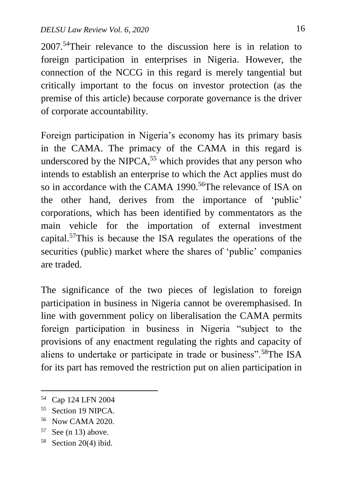2007. <sup>54</sup>Their relevance to the discussion here is in relation to foreign participation in enterprises in Nigeria. However, the connection of the NCCG in this regard is merely tangential but critically important to the focus on investor protection (as the premise of this article) because corporate governance is the driver of corporate accountability.

Foreign participation in Nigeria's economy has its primary basis in the CAMA. The primacy of the CAMA in this regard is underscored by the NIPCA, $55$  which provides that any person who intends to establish an enterprise to which the Act applies must do so in accordance with the CAMA 1990.<sup>56</sup>The relevance of ISA on the other hand, derives from the importance of 'public' corporations, which has been identified by commentators as the main vehicle for the importation of external investment capital.<sup>57</sup>This is because the ISA regulates the operations of the securities (public) market where the shares of 'public' companies are traded.

The significance of the two pieces of legislation to foreign participation in business in Nigeria cannot be overemphasised. In line with government policy on liberalisation the CAMA permits foreign participation in business in Nigeria "subject to the provisions of any enactment regulating the rights and capacity of aliens to undertake or participate in trade or business".<sup>58</sup>The ISA for its part has removed the restriction put on alien participation in

<sup>54</sup> Cap 124 LFN 2004

<sup>55</sup> Section 19 NIPCA.

<sup>56</sup> Now CAMA 2020.

 $57$  See (n 13) above.

<sup>58</sup> Section 20(4) ibid.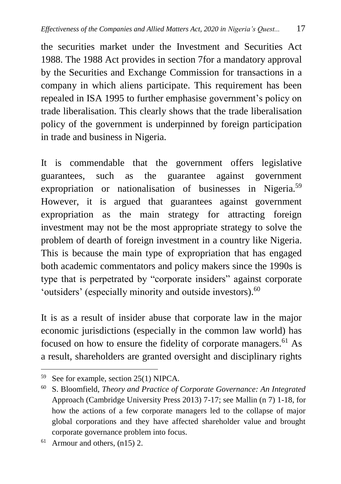the securities market under the Investment and Securities Act 1988. The 1988 Act provides in section 7for a mandatory approval by the Securities and Exchange Commission for transactions in a company in which aliens participate. This requirement has been repealed in ISA 1995 to further emphasise government's policy on trade liberalisation. This clearly shows that the trade liberalisation policy of the government is underpinned by foreign participation in trade and business in Nigeria.

It is commendable that the government offers legislative guarantees, such as the guarantee against government expropriation or nationalisation of businesses in Nigeria.<sup>59</sup> However, it is argued that guarantees against government expropriation as the main strategy for attracting foreign investment may not be the most appropriate strategy to solve the problem of dearth of foreign investment in a country like Nigeria. This is because the main type of expropriation that has engaged both academic commentators and policy makers since the 1990s is type that is perpetrated by "corporate insiders" against corporate 'outsiders' (especially minority and outside investors).<sup>60</sup>

It is as a result of insider abuse that corporate law in the major economic jurisdictions (especially in the common law world) has focused on how to ensure the fidelity of corporate managers.<sup>61</sup> As a result, shareholders are granted oversight and disciplinary rights

 $\overline{a}$ <sup>59</sup> See for example, section 25(1) NIPCA.

<sup>60</sup> S. Bloomfield, *Theory and Practice of Corporate Governance: An Integrated* Approach (Cambridge University Press 2013) 7-17; see Mallin (n 7) 1-18, for how the actions of a few corporate managers led to the collapse of major global corporations and they have affected shareholder value and brought corporate governance problem into focus.

 $61$  Armour and others,  $(n15)$  2.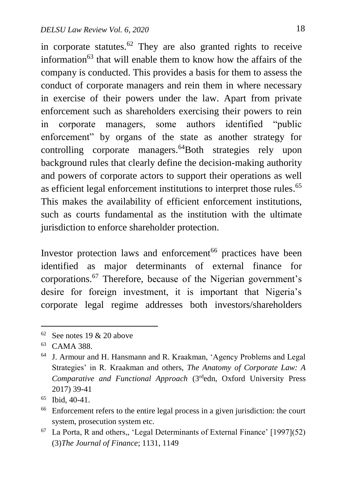in corporate statutes. $62$  They are also granted rights to receive information<sup>63</sup> that will enable them to know how the affairs of the company is conducted. This provides a basis for them to assess the conduct of corporate managers and rein them in where necessary in exercise of their powers under the law. Apart from private enforcement such as shareholders exercising their powers to rein in corporate managers, some authors identified "public enforcement" by organs of the state as another strategy for controlling corporate managers.<sup>64</sup>Both strategies rely upon background rules that clearly define the decision-making authority and powers of corporate actors to support their operations as well as efficient legal enforcement institutions to interpret those rules.<sup>65</sup> This makes the availability of efficient enforcement institutions, such as courts fundamental as the institution with the ultimate jurisdiction to enforce shareholder protection.

Investor protection laws and enforcement<sup>66</sup> practices have been identified as major determinants of external finance for corporations.<sup>67</sup> Therefore, because of the Nigerian government's desire for foreign investment, it is important that Nigeria's corporate legal regime addresses both investors/shareholders

1

 $62$  See notes 19 & 20 above

<sup>63</sup> CAMA 388.

<sup>64</sup> J. Armour and H. Hansmann and R. Kraakman, 'Agency Problems and Legal Strategies' in R. Kraakman and others, *The Anatomy of Corporate Law: A Comparative and Functional Approach* (3rdedn, Oxford University Press 2017) 39-41

<sup>65</sup> Ibid, 40-41.

<sup>66</sup> Enforcement refers to the entire legal process in a given jurisdiction: the court system, prosecution system etc.

 $67$  La Porta, R and others,, 'Legal Determinants of External Finance' [1997](52) (3)*The Journal of Finance*; 1131, 1149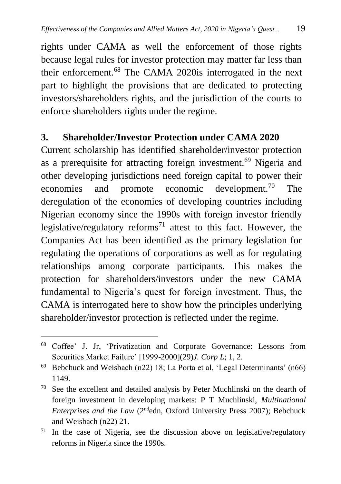rights under CAMA as well the enforcement of those rights because legal rules for investor protection may matter far less than their enforcement.<sup>68</sup> The CAMA 2020is interrogated in the next part to highlight the provisions that are dedicated to protecting investors/shareholders rights, and the jurisdiction of the courts to enforce shareholders rights under the regime.

### **3. Shareholder/Investor Protection under CAMA 2020**

Current scholarship has identified shareholder/investor protection as a prerequisite for attracting foreign investment.<sup>69</sup> Nigeria and other developing jurisdictions need foreign capital to power their economies and promote economic development.<sup>70</sup> The deregulation of the economies of developing countries including Nigerian economy since the 1990s with foreign investor friendly legislative/regulatory reforms<sup>71</sup> attest to this fact. However, the Companies Act has been identified as the primary legislation for regulating the operations of corporations as well as for regulating relationships among corporate participants. This makes the protection for shareholders/investors under the new CAMA fundamental to Nigeria's quest for foreign investment. Thus, the CAMA is interrogated here to show how the principles underlying shareholder/investor protection is reflected under the regime.

 $\overline{a}$ <sup>68</sup> Coffee' J. Jr, 'Privatization and Corporate Governance: Lessons from Securities Market Failure' [1999-2000](29)*J. Corp L*; 1, 2.

<sup>69</sup> Bebchuck and Weisbach (n22) 18; La Porta et al, 'Legal Determinants' (n66) 1149.

<sup>70</sup> See the excellent and detailed analysis by Peter Muchlinski on the dearth of foreign investment in developing markets: P T Muchlinski, *Multinational Enterprises and the Law* (2ndedn, Oxford University Press 2007); Bebchuck and Weisbach (n22) 21.

<sup>71</sup> In the case of Nigeria, see the discussion above on legislative/regulatory reforms in Nigeria since the 1990s.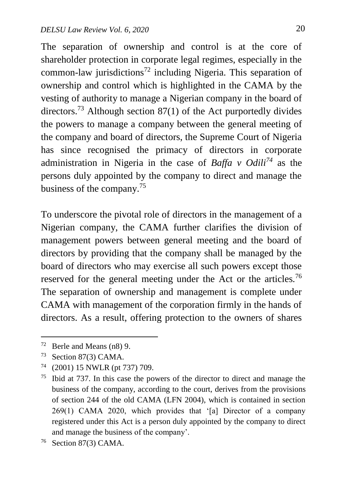The separation of ownership and control is at the core of shareholder protection in corporate legal regimes, especially in the common-law jurisdictions<sup>72</sup> including Nigeria. This separation of ownership and control which is highlighted in the CAMA by the vesting of authority to manage a Nigerian company in the board of directors.<sup>73</sup> Although section  $87(1)$  of the Act purportedly divides the powers to manage a company between the general meeting of the company and board of directors, the Supreme Court of Nigeria has since recognised the primacy of directors in corporate administration in Nigeria in the case of *Baffa v Odili<sup>74</sup>* as the persons duly appointed by the company to direct and manage the business of the company. 75

To underscore the pivotal role of directors in the management of a Nigerian company, the CAMA further clarifies the division of management powers between general meeting and the board of directors by providing that the company shall be managed by the board of directors who may exercise all such powers except those reserved for the general meeting under the Act or the articles.<sup>76</sup> The separation of ownership and management is complete under CAMA with management of the corporation firmly in the hands of directors. As a result, offering protection to the owners of shares

<sup>72</sup> Berle and Means (n8) 9.

<sup>73</sup> Section 87(3) CAMA.

<sup>74</sup> (2001) 15 NWLR (pt 737) 709.

<sup>75</sup> Ibid at 737. In this case the powers of the director to direct and manage the business of the company, according to the court, derives from the provisions of section 244 of the old CAMA (LFN 2004), which is contained in section 269(1) CAMA 2020, which provides that '[a] Director of a company registered under this Act is a person duly appointed by the company to direct and manage the business of the company'.

<sup>76</sup> Section 87(3) CAMA.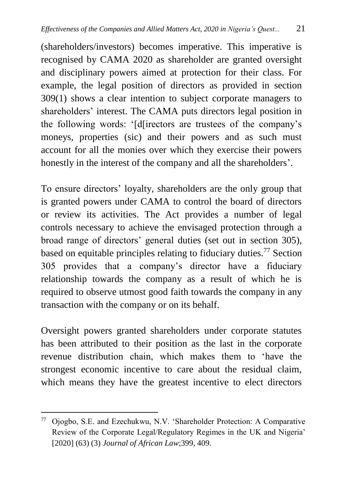(shareholders/investors) becomes imperative. This imperative is recognised by CAMA 2020 as shareholder are granted oversight and disciplinary powers aimed at protection for their class. For example, the legal position of directors as provided in section 309(1) shows a clear intention to subject corporate managers to shareholders' interest. The CAMA puts directors legal position in the following words: '[d[irectors are trustees of the company's moneys, properties (sic) and their powers and as such must account for all the monies over which they exercise their powers honestly in the interest of the company and all the shareholders'.

To ensure directors' loyalty, shareholders are the only group that is granted powers under CAMA to control the board of directors or review its activities. The Act provides a number of legal controls necessary to achieve the envisaged protection through a broad range of directors' general duties (set out in section 305), based on equitable principles relating to fiduciary duties.<sup>77</sup> Section 305 provides that a company's director have a fiduciary relationship towards the company as a result of which he is required to observe utmost good faith towards the company in any transaction with the company or on its behalf.

Oversight powers granted shareholders under corporate statutes has been attributed to their position as the last in the corporate revenue distribution chain, which makes them to 'have the strongest economic incentive to care about the residual claim, which means they have the greatest incentive to elect directors

<sup>77</sup> Ojogbo, S.E. and Ezechukwu, N.V. 'Shareholder Protection: A Comparative Review of the Corporate Legal/Regulatory Regimes in the UK and Nigeria' [2020] (63) (3) *Journal of African Law*;399, 409.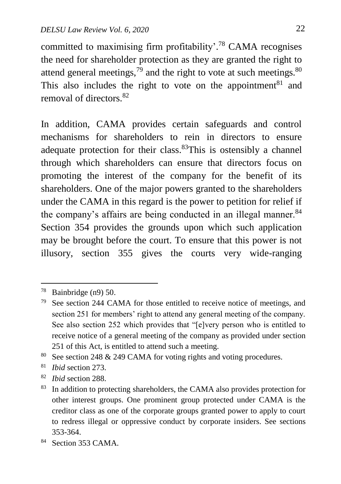committed to maximising firm profitability'.<sup>78</sup> CAMA recognises the need for shareholder protection as they are granted the right to attend general meetings,  $79$  and the right to vote at such meetings.  $80$ This also includes the right to vote on the appointment<sup>81</sup> and removal of directors  $82$ 

In addition, CAMA provides certain safeguards and control mechanisms for shareholders to rein in directors to ensure adequate protection for their class.<sup>83</sup>This is ostensibly a channel through which shareholders can ensure that directors focus on promoting the interest of the company for the benefit of its shareholders. One of the major powers granted to the shareholders under the CAMA in this regard is the power to petition for relief if the company's affairs are being conducted in an illegal manner.  $84$ Section 354 provides the grounds upon which such application may be brought before the court. To ensure that this power is not illusory, section 355 gives the courts very wide-ranging

1

<sup>80</sup> See section 248 & 249 CAMA for voting rights and voting procedures.

<sup>81</sup> *Ibid* section 273.

<sup>82</sup> *Ibid* section 288.

<sup>&</sup>lt;sup>78</sup> Bainbridge (n9) 50.

<sup>79</sup> See section 244 CAMA for those entitled to receive notice of meetings, and section 251 for members' right to attend any general meeting of the company. See also section 252 which provides that "[e]very person who is entitled to receive notice of a general meeting of the company as provided under section 251 of this Act, is entitled to attend such a meeting.

<sup>&</sup>lt;sup>83</sup> In addition to protecting shareholders, the CAMA also provides protection for other interest groups. One prominent group protected under CAMA is the creditor class as one of the corporate groups granted power to apply to court to redress illegal or oppressive conduct by corporate insiders. See sections 353-364.

<sup>&</sup>lt;sup>84</sup> Section 353 CAMA.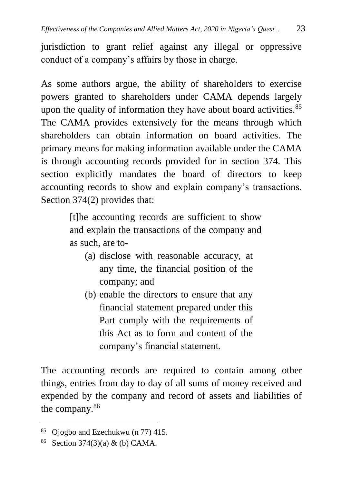jurisdiction to grant relief against any illegal or oppressive conduct of a company's affairs by those in charge.

As some authors argue, the ability of shareholders to exercise powers granted to shareholders under CAMA depends largely upon the quality of information they have about board activities.<sup>85</sup> The CAMA provides extensively for the means through which shareholders can obtain information on board activities. The primary means for making information available under the CAMA is through accounting records provided for in section 374. This section explicitly mandates the board of directors to keep accounting records to show and explain company's transactions. Section 374(2) provides that:

> [t]he accounting records are sufficient to show and explain the transactions of the company and as such, are to-

- (a) disclose with reasonable accuracy, at any time, the financial position of the company; and
- (b) enable the directors to ensure that any financial statement prepared under this Part comply with the requirements of this Act as to form and content of the company's financial statement.

The accounting records are required to contain among other things, entries from day to day of all sums of money received and expended by the company and record of assets and liabilities of the company.<sup>86</sup>

<sup>85</sup> Ojogbo and Ezechukwu (n 77) 415.

<sup>86</sup> Section 374(3)(a) & (b) CAMA.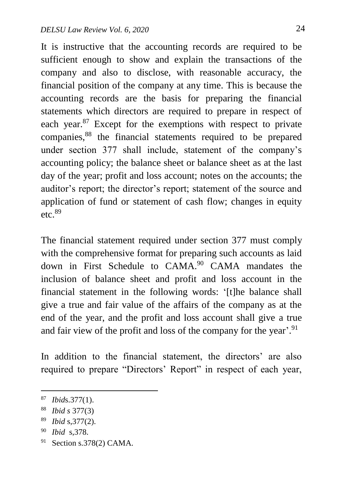It is instructive that the accounting records are required to be sufficient enough to show and explain the transactions of the company and also to disclose, with reasonable accuracy, the financial position of the company at any time. This is because the accounting records are the basis for preparing the financial statements which directors are required to prepare in respect of each year.<sup>87</sup> Except for the exemptions with respect to private companies,<sup>88</sup> the financial statements required to be prepared under section 377 shall include, statement of the company's accounting policy; the balance sheet or balance sheet as at the last day of the year; profit and loss account; notes on the accounts; the auditor's report; the director's report; statement of the source and application of fund or statement of cash flow; changes in equity etc.  $89$ 

The financial statement required under section 377 must comply with the comprehensive format for preparing such accounts as laid down in First Schedule to CAMA.<sup>90</sup> CAMA mandates the inclusion of balance sheet and profit and loss account in the financial statement in the following words: '[t]he balance shall give a true and fair value of the affairs of the company as at the end of the year, and the profit and loss account shall give a true and fair view of the profit and loss of the company for the year'.<sup>91</sup>

In addition to the financial statement, the directors' are also required to prepare "Directors' Report" in respect of each year,

- <sup>90</sup> *Ibid* s,378.
- <sup>91</sup> Section s.378(2) CAMA.

<sup>87</sup> *Ibid*s.377(1).

<sup>88</sup> *Ibid s* 377(3)

<sup>89</sup> *Ibid* s,377(2).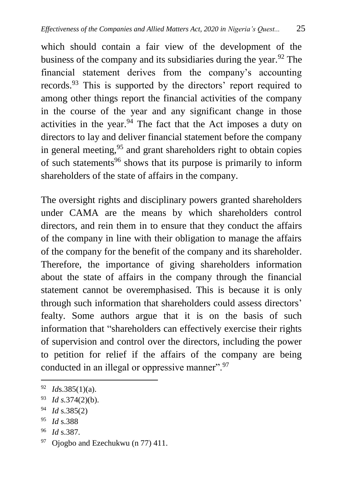which should contain a fair view of the development of the business of the company and its subsidiaries during the year.  $92$  The financial statement derives from the company's accounting records.<sup>93</sup> This is supported by the directors' report required to among other things report the financial activities of the company in the course of the year and any significant change in those activities in the year. $94$  The fact that the Act imposes a duty on directors to lay and deliver financial statement before the company in general meeting,  $95$  and grant shareholders right to obtain copies of such statements<sup>96</sup> shows that its purpose is primarily to inform shareholders of the state of affairs in the company.

The oversight rights and disciplinary powers granted shareholders under CAMA are the means by which shareholders control directors, and rein them in to ensure that they conduct the affairs of the company in line with their obligation to manage the affairs of the company for the benefit of the company and its shareholder. Therefore, the importance of giving shareholders information about the state of affairs in the company through the financial statement cannot be overemphasised. This is because it is only through such information that shareholders could assess directors' fealty. Some authors argue that it is on the basis of such information that "shareholders can effectively exercise their rights of supervision and control over the directors, including the power to petition for relief if the affairs of the company are being conducted in an illegal or oppressive manner".<sup>97</sup>

 $\overline{a}$ 

<sup>96</sup> *Id* s.387.

<sup>92</sup> *Id*s.385(1)(a).

<sup>93</sup> *Id s.*374(2)(b).

<sup>94</sup> *Id* s.385(2)

<sup>95</sup> *Id* s.388

 $97$  Ojogbo and Ezechukwu (n 77) 411.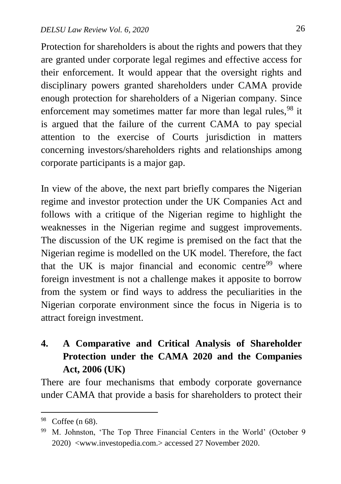Protection for shareholders is about the rights and powers that they are granted under corporate legal regimes and effective access for their enforcement. It would appear that the oversight rights and disciplinary powers granted shareholders under CAMA provide enough protection for shareholders of a Nigerian company. Since enforcement may sometimes matter far more than legal rules, <sup>98</sup> it is argued that the failure of the current CAMA to pay special attention to the exercise of Courts jurisdiction in matters concerning investors/shareholders rights and relationships among corporate participants is a major gap.

In view of the above, the next part briefly compares the Nigerian regime and investor protection under the UK Companies Act and follows with a critique of the Nigerian regime to highlight the weaknesses in the Nigerian regime and suggest improvements. The discussion of the UK regime is premised on the fact that the Nigerian regime is modelled on the UK model. Therefore, the fact that the UK is major financial and economic centre $99$  where foreign investment is not a challenge makes it apposite to borrow from the system or find ways to address the peculiarities in the Nigerian corporate environment since the focus in Nigeria is to attract foreign investment.

# **4. A Comparative and Critical Analysis of Shareholder Protection under the CAMA 2020 and the Companies Act, 2006 (UK)**

There are four mechanisms that embody corporate governance under CAMA that provide a basis for shareholders to protect their

<sup>98</sup> Coffee (n 68).

<sup>99</sup> M. Johnston, 'The Top Three Financial Centers in the World' (October 9 2020) <www.investopedia.com.> accessed 27 November 2020.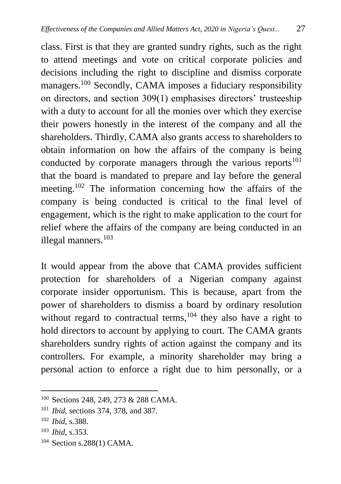class. First is that they are granted sundry rights, such as the right to attend meetings and vote on critical corporate policies and decisions including the right to discipline and dismiss corporate managers.<sup>100</sup> Secondly, CAMA imposes a fiduciary responsibility on directors, and section 309(1) emphasises directors' trusteeship with a duty to account for all the monies over which they exercise their powers honestly in the interest of the company and all the shareholders. Thirdly, CAMA also grants access to shareholders to obtain information on how the affairs of the company is being conducted by corporate managers through the various reports<sup>101</sup> that the board is mandated to prepare and lay before the general meeting.<sup>102</sup> The information concerning how the affairs of the company is being conducted is critical to the final level of engagement, which is the right to make application to the court for relief where the affairs of the company are being conducted in an illegal manners.<sup>103</sup>

It would appear from the above that CAMA provides sufficient protection for shareholders of a Nigerian company against corporate insider opportunism. This is because, apart from the power of shareholders to dismiss a board by ordinary resolution without regard to contractual terms,<sup>104</sup> they also have a right to hold directors to account by applying to court. The CAMA grants shareholders sundry rights of action against the company and its controllers. For example, a minority shareholder may bring a personal action to enforce a right due to him personally, or a

 $\ddot{\phantom{a}}$ 

<sup>104</sup> Section s.288(1) CAMA.

<sup>100</sup> Sections 248, 249, 273 & 288 CAMA.

<sup>101</sup> *Ibid*, sections 374, 378, and 387.

<sup>102</sup> *Ibid*, s.388.

<sup>103</sup> *Ibid*, s.353.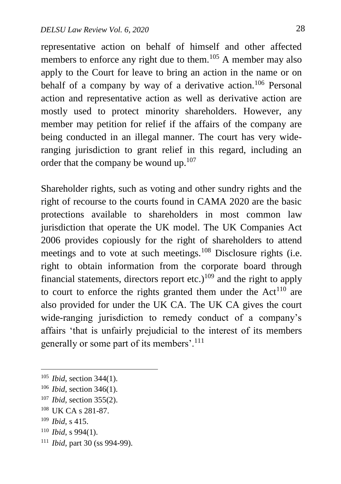representative action on behalf of himself and other affected members to enforce any right due to them.<sup>105</sup> A member may also apply to the Court for leave to bring an action in the name or on behalf of a company by way of a derivative action.<sup>106</sup> Personal action and representative action as well as derivative action are mostly used to protect minority shareholders. However, any member may petition for relief if the affairs of the company are being conducted in an illegal manner. The court has very wideranging jurisdiction to grant relief in this regard, including an order that the company be wound up. $107$ 

Shareholder rights, such as voting and other sundry rights and the right of recourse to the courts found in CAMA 2020 are the basic protections available to shareholders in most common law jurisdiction that operate the UK model. The UK Companies Act 2006 provides copiously for the right of shareholders to attend meetings and to vote at such meetings.<sup>108</sup> Disclosure rights (i.e. right to obtain information from the corporate board through financial statements, directors report etc.)<sup>109</sup> and the right to apply to court to enforce the rights granted them under the  $Act^{110}$  are also provided for under the UK CA. The UK CA gives the court wide-ranging jurisdiction to remedy conduct of a company's affairs 'that is unfairly prejudicial to the interest of its members generally or some part of its members'.<sup>111</sup>

<sup>109</sup> *Ibid*, s 415.

- <sup>110</sup> *Ibid*, s 994(1).
- <sup>111</sup> *Ibid*, part 30 (ss 994-99).

<sup>105</sup> *Ibid*, section 344(1).

<sup>106</sup> *Ibid*, section 346(1).

<sup>107</sup> *Ibid,* section 355(2).

<sup>108</sup> UK CA s 281-87.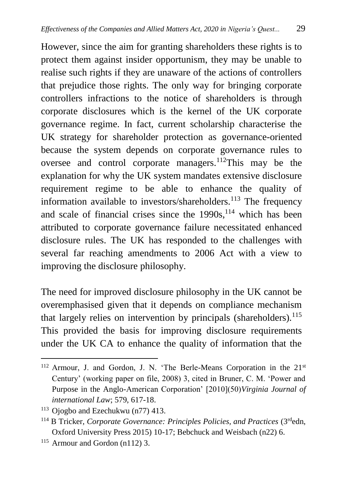However, since the aim for granting shareholders these rights is to protect them against insider opportunism, they may be unable to realise such rights if they are unaware of the actions of controllers that prejudice those rights. The only way for bringing corporate controllers infractions to the notice of shareholders is through corporate disclosures which is the kernel of the UK corporate governance regime. In fact, current scholarship characterise the UK strategy for shareholder protection as governance-oriented because the system depends on corporate governance rules to oversee and control corporate managers.<sup>112</sup>This may be the explanation for why the UK system mandates extensive disclosure requirement regime to be able to enhance the quality of information available to investors/shareholders.<sup>113</sup> The frequency and scale of financial crises since the  $1990s$ ,  $114$  which has been attributed to corporate governance failure necessitated enhanced disclosure rules. The UK has responded to the challenges with several far reaching amendments to 2006 Act with a view to improving the disclosure philosophy.

The need for improved disclosure philosophy in the UK cannot be overemphasised given that it depends on compliance mechanism that largely relies on intervention by principals (shareholders).<sup>115</sup> This provided the basis for improving disclosure requirements under the UK CA to enhance the quality of information that the

<sup>1</sup> <sup>112</sup> Armour, J. and Gordon, J. N. 'The Berle-Means Corporation in the 21<sup>st</sup> Century' (working paper on file, 2008) 3, cited in Bruner, C. M. 'Power and Purpose in the Anglo-American Corporation' [2010](50)*Virginia Journal of international Law*; 579, 617-18.

<sup>113</sup> Ojogbo and Ezechukwu (n77) 413.

<sup>114</sup> B Tricker, *Corporate Governance: Principles Policies, and Practices* (3rdedn, Oxford University Press 2015) 10-17; Bebchuck and Weisbach (n22) 6.

<sup>115</sup> Armour and Gordon (n112) 3.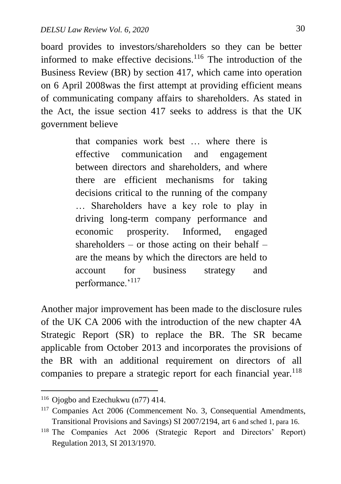board provides to investors/shareholders so they can be better informed to make effective decisions.<sup>116</sup> The introduction of the Business Review (BR) by section 417, which came into operation on 6 April 2008was the first attempt at providing efficient means of communicating company affairs to shareholders. As stated in the Act, the issue section 417 seeks to address is that the UK government believe

> that companies work best … where there is effective communication and engagement between directors and shareholders, and where there are efficient mechanisms for taking decisions critical to the running of the company … Shareholders have a key role to play in driving long-term company performance and economic prosperity. Informed, engaged shareholders – or those acting on their behalf – are the means by which the directors are held to account for business strategy and performance.'<sup>117</sup>

Another major improvement has been made to the disclosure rules of the UK CA 2006 with the introduction of the new chapter 4A Strategic Report (SR) to replace the BR. The SR became applicable from October 2013 and incorporates the provisions of the BR with an additional requirement on directors of all companies to prepare a strategic report for each financial year.<sup>118</sup>

<sup>116</sup> Ojogbo and Ezechukwu (n77) 414.

<sup>117</sup> Companies Act 2006 (Commencement No. 3, Consequential Amendments, Transitional Provisions and Savings) SI 2007/2194, art 6 and sched 1, para 16.

<sup>118</sup> The Companies Act 2006 (Strategic Report and Directors' Report) Regulation 2013, SI 2013/1970.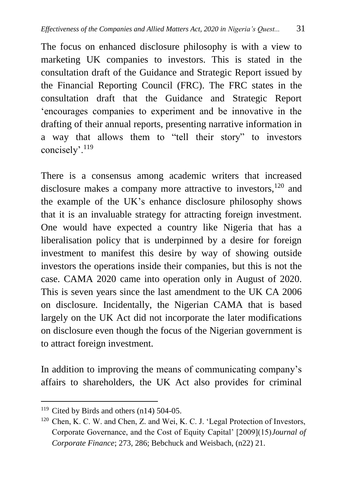The focus on enhanced disclosure philosophy is with a view to marketing UK companies to investors. This is stated in the consultation draft of the Guidance and Strategic Report issued by the Financial Reporting Council (FRC). The FRC states in the consultation draft that the Guidance and Strategic Report 'encourages companies to experiment and be innovative in the drafting of their annual reports, presenting narrative information in a way that allows them to "tell their story" to investors concisely'.<sup>119</sup>

There is a consensus among academic writers that increased disclosure makes a company more attractive to investors,  $120$  and the example of the UK's enhance disclosure philosophy shows that it is an invaluable strategy for attracting foreign investment. One would have expected a country like Nigeria that has a liberalisation policy that is underpinned by a desire for foreign investment to manifest this desire by way of showing outside investors the operations inside their companies, but this is not the case. CAMA 2020 came into operation only in August of 2020. This is seven years since the last amendment to the UK CA 2006 on disclosure. Incidentally, the Nigerian CAMA that is based largely on the UK Act did not incorporate the later modifications on disclosure even though the focus of the Nigerian government is to attract foreign investment.

In addition to improving the means of communicating company's affairs to shareholders, the UK Act also provides for criminal

<sup>&</sup>lt;sup>119</sup> Cited by Birds and others (n14) 504-05.

<sup>120</sup> Chen, K. C. W. and Chen, Z. and Wei, K. C. J. 'Legal Protection of Investors, Corporate Governance, and the Cost of Equity Capital' [2009](15)*Journal of Corporate Finance*; 273, 286; Bebchuck and Weisbach, (n22) 21.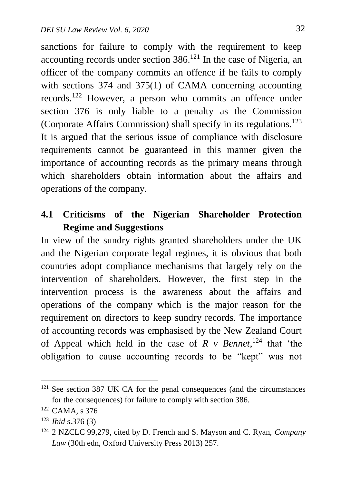sanctions for failure to comply with the requirement to keep accounting records under section  $386$ .<sup>121</sup> In the case of Nigeria, an officer of the company commits an offence if he fails to comply with sections 374 and 375(1) of CAMA concerning accounting records.<sup>122</sup> However, a person who commits an offence under section 376 is only liable to a penalty as the Commission (Corporate Affairs Commission) shall specify in its regulations.<sup>123</sup> It is argued that the serious issue of compliance with disclosure requirements cannot be guaranteed in this manner given the importance of accounting records as the primary means through which shareholders obtain information about the affairs and operations of the company.

# **4.1 Criticisms of the Nigerian Shareholder Protection Regime and Suggestions**

In view of the sundry rights granted shareholders under the UK and the Nigerian corporate legal regimes, it is obvious that both countries adopt compliance mechanisms that largely rely on the intervention of shareholders. However, the first step in the intervention process is the awareness about the affairs and operations of the company which is the major reason for the requirement on directors to keep sundry records. The importance of accounting records was emphasised by the New Zealand Court of Appeal which held in the case of  $R$  v Bennet, <sup>124</sup> that 'the obligation to cause accounting records to be "kept" was not

 $121$  See section 387 UK CA for the penal consequences (and the circumstances for the consequences) for failure to comply with section 386.

<sup>122</sup> CAMA, s 376

<sup>123</sup> *Ibid* s.376 (3)

<sup>124</sup> 2 NZCLC 99,279, cited by D. French and S. Mayson and C. Ryan, *Company Law* (30th edn, Oxford University Press 2013) 257.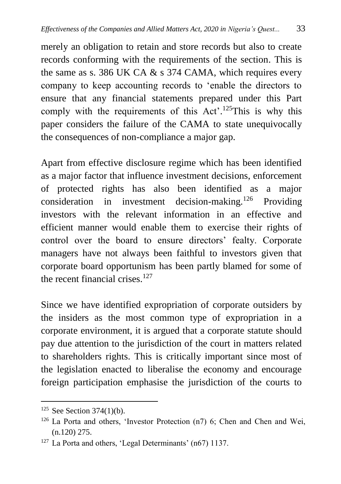merely an obligation to retain and store records but also to create records conforming with the requirements of the section. This is the same as s. 386 UK CA  $\&$  s 374 CAMA, which requires every company to keep accounting records to 'enable the directors to ensure that any financial statements prepared under this Part comply with the requirements of this Act'.<sup>125</sup>This is why this paper considers the failure of the CAMA to state unequivocally the consequences of non-compliance a major gap.

Apart from effective disclosure regime which has been identified as a major factor that influence investment decisions, enforcement of protected rights has also been identified as a major consideration in investment decision-making.<sup>126</sup> Providing investors with the relevant information in an effective and efficient manner would enable them to exercise their rights of control over the board to ensure directors' fealty. Corporate managers have not always been faithful to investors given that corporate board opportunism has been partly blamed for some of the recent financial crises. $127$ 

Since we have identified expropriation of corporate outsiders by the insiders as the most common type of expropriation in a corporate environment, it is argued that a corporate statute should pay due attention to the jurisdiction of the court in matters related to shareholders rights. This is critically important since most of the legislation enacted to liberalise the economy and encourage foreign participation emphasise the jurisdiction of the courts to

 $125$  See Section 374(1)(b).

<sup>126</sup> La Porta and others, 'Investor Protection (n7) 6; Chen and Chen and Wei, (n.120) 275.

<sup>127</sup> La Porta and others, 'Legal Determinants' (n67) 1137.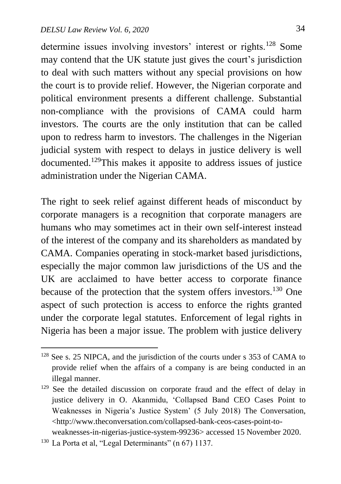determine issues involving investors' interest or rights.<sup>128</sup> Some may contend that the UK statute just gives the court's jurisdiction to deal with such matters without any special provisions on how the court is to provide relief. However, the Nigerian corporate and political environment presents a different challenge. Substantial non-compliance with the provisions of CAMA could harm investors. The courts are the only institution that can be called upon to redress harm to investors. The challenges in the Nigerian judicial system with respect to delays in justice delivery is well documented.<sup>129</sup>This makes it apposite to address issues of justice administration under the Nigerian CAMA.

The right to seek relief against different heads of misconduct by corporate managers is a recognition that corporate managers are humans who may sometimes act in their own self-interest instead of the interest of the company and its shareholders as mandated by CAMA. Companies operating in stock-market based jurisdictions, especially the major common law jurisdictions of the US and the UK are acclaimed to have better access to corporate finance because of the protection that the system offers investors.<sup>130</sup> One aspect of such protection is access to enforce the rights granted under the corporate legal statutes. Enforcement of legal rights in Nigeria has been a major issue. The problem with justice delivery

<sup>130</sup> La Porta et al, "Legal Determinants" (n 67) 1137.

<sup>128</sup> See s. 25 NIPCA, and the jurisdiction of the courts under s 353 of CAMA to provide relief when the affairs of a company is are being conducted in an illegal manner.

<sup>&</sup>lt;sup>129</sup> See the detailed discussion on corporate fraud and the effect of delay in justice delivery in O. Akanmidu, 'Collapsed Band CEO Cases Point to Weaknesses in Nigeria's Justice System' (5 July 2018) The Conversation, <http://www.theconversation.com/collapsed-bank-ceos-cases-point-to-

weaknesses-in-nigerias-justice-system-99236> accessed 15 November 2020.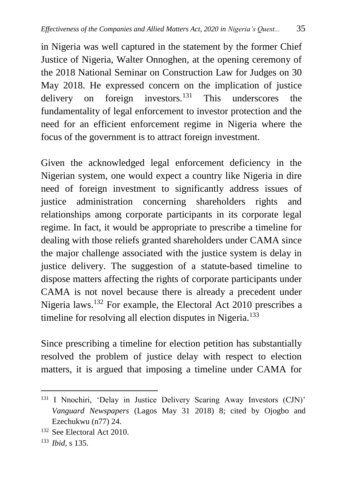in Nigeria was well captured in the statement by the former Chief Justice of Nigeria, Walter Onnoghen, at the opening ceremony of the 2018 National Seminar on Construction Law for Judges on 30 May 2018. He expressed concern on the implication of justice delivery on foreign investors.<sup>131</sup> This underscores the fundamentality of legal enforcement to investor protection and the need for an efficient enforcement regime in Nigeria where the focus of the government is to attract foreign investment.

Given the acknowledged legal enforcement deficiency in the Nigerian system, one would expect a country like Nigeria in dire need of foreign investment to significantly address issues of justice administration concerning shareholders rights and relationships among corporate participants in its corporate legal regime. In fact, it would be appropriate to prescribe a timeline for dealing with those reliefs granted shareholders under CAMA since the major challenge associated with the justice system is delay in justice delivery. The suggestion of a statute-based timeline to dispose matters affecting the rights of corporate participants under CAMA is not novel because there is already a precedent under Nigeria laws.<sup>132</sup> For example, the Electoral Act 2010 prescribes a timeline for resolving all election disputes in Nigeria.<sup>133</sup>

Since prescribing a timeline for election petition has substantially resolved the problem of justice delay with respect to election matters, it is argued that imposing a timeline under CAMA for

<sup>131</sup> I Nnochiri, 'Delay in Justice Delivery Scaring Away Investors (CJN)' *Vanguard Newspapers* (Lagos May 31 2018) 8; cited by Ojogbo and Ezechukwu (n77) 24.

<sup>132</sup> See Electoral Act 2010.

<sup>133</sup> *Ibid,* s 135.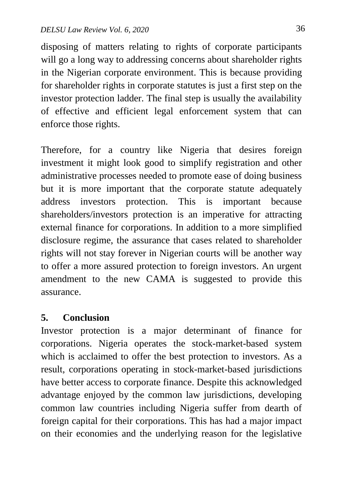disposing of matters relating to rights of corporate participants will go a long way to addressing concerns about shareholder rights in the Nigerian corporate environment. This is because providing for shareholder rights in corporate statutes is just a first step on the investor protection ladder. The final step is usually the availability of effective and efficient legal enforcement system that can enforce those rights.

Therefore, for a country like Nigeria that desires foreign investment it might look good to simplify registration and other administrative processes needed to promote ease of doing business but it is more important that the corporate statute adequately address investors protection. This is important because shareholders/investors protection is an imperative for attracting external finance for corporations. In addition to a more simplified disclosure regime, the assurance that cases related to shareholder rights will not stay forever in Nigerian courts will be another way to offer a more assured protection to foreign investors. An urgent amendment to the new CAMA is suggested to provide this assurance.

### **5. Conclusion**

Investor protection is a major determinant of finance for corporations. Nigeria operates the stock-market-based system which is acclaimed to offer the best protection to investors. As a result, corporations operating in stock-market-based jurisdictions have better access to corporate finance. Despite this acknowledged advantage enjoyed by the common law jurisdictions, developing common law countries including Nigeria suffer from dearth of foreign capital for their corporations. This has had a major impact on their economies and the underlying reason for the legislative